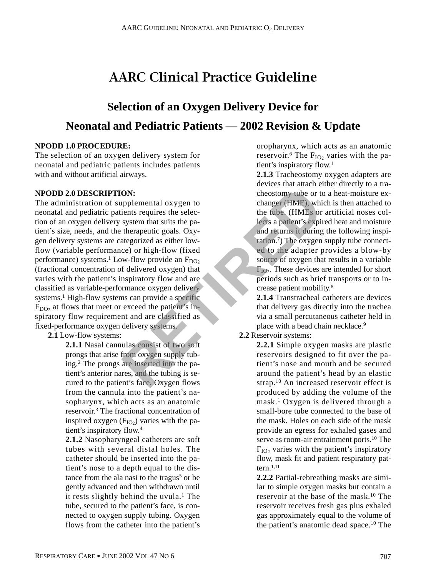# **AARC Clinical Practice Guideline**

# **Selection of an Oxygen Delivery Device for Neonatal and Pediatric Patients — 2002 Revision & Update**

# **NPODD 1.0 PROCEDURE:**

The selection of an oxygen delivery system for neonatal and pediatric patients includes patients with and without artificial airways.

### **NPODD 2.0 DESCRIPTION:**

The administration of supplemental oxygen to neonatal and pediatric patients requires the selection of an oxygen delivery system that suits the patient's size, needs, and the therapeutic goals. Oxygen delivery systems are categorized as either lowflow (variable performance) or high-flow (fixed performance) systems.<sup>1</sup> Low-flow provide an  $F_{DO<sub>2</sub>}$ (fractional concentration of delivered oxygen) that varies with the patient's inspiratory flow and are classified as variable-performance oxygen delivery systems.<sup>1</sup> High-flow systems can provide a specific  $F<sub>DO</sub>$  at flows that meet or exceed the patient's inspiratory flow requirement and are classified as fixed-performance oxygen delivery systems. **EXERCT SONS**<br> **RETIRED**<br> **RETIRED**<br> **RETIRED**<br> **RETIRED**<br> **RETIRED**<br> **RETIRED**<br> **RETIRED**<br> **RETIRED**<br> **RETIRED**<br> **RETIRED**<br> **RETIRED**<br> **RETIRED**<br> **RETIRED**<br> **RETIRED**<br> **RETIRED**<br> **RETIRED**<br> **RETIRED**<br> **RETIRED**<br> **RETIRED** 

# **2.1** Low-flow systems:

**2.1.1** Nasal cannulas consist of two soft prongs that arise from oxygen supply tubing.2 The prongs are inserted into the patient's anterior nares, and the tubing is secured to the patient's face. Oxygen flows from the cannula into the patient's nasopharynx, which acts as an anatomic reservoir.3 The fractional concentration of inspired oxygen  $(F_{IO2})$  varies with the patient's inspiratory flow.4

**2.1.2** Nasopharyngeal catheters are soft tubes with several distal holes. The catheter should be inserted into the patient's nose to a depth equal to the distance from the ala nasi to the tragus<sup>5</sup> or be gently advanced and then withdrawn until it rests slightly behind the uvula.<sup>1</sup> The tube, secured to the patient's face, is connected to oxygen supply tubing. Oxygen flows from the catheter into the patient's

oropharynx, which acts as an anatomic reservoir.<sup>6</sup> The  $F_{IO_2}$  varies with the patient's inspiratory flow.1

**2.1.3** Tracheostomy oxygen adapters are devices that attach either directly to a tracheostomy tube or to a heat-moisture exchanger (HME), which is then attached to the tube. (HMEs or artificial noses collects a patient's expired heat and moisture and returns it during the following inspiration.7) The oxygen supply tube connected to the adapter provides a blow-by source of oxygen that results in a variable  $F_{IO2}$ . These devices are intended for short periods such as brief transports or to increase patient mobility.8

**2.1.4** Transtracheal catheters are devices that delivery gas directly into the trachea via a small percutaneous catheter held in place with a bead chain necklace.<sup>9</sup>

# **2.2** Reservoir systems:

**2.2.1** Simple oxygen masks are plastic reservoirs designed to fit over the patient's nose and mouth and be secured around the patient's head by an elastic strap.10 An increased reservoir effect is produced by adding the volume of the mask.1 Oxygen is delivered through a small-bore tube connected to the base of the mask. Holes on each side of the mask provide an egress for exhaled gases and serve as room-air entrainment ports.<sup>10</sup> The  $F_{IO2}$  varies with the patient's inspiratory flow, mask fit and patient respiratory pattern $1,11$ 

**2.2.2** Partial-rebreathing masks are similar to simple oxygen masks but contain a reservoir at the base of the mask.10 The reservoir receives fresh gas plus exhaled gas approximately equal to the volume of the patient's anatomic dead space. $10$  The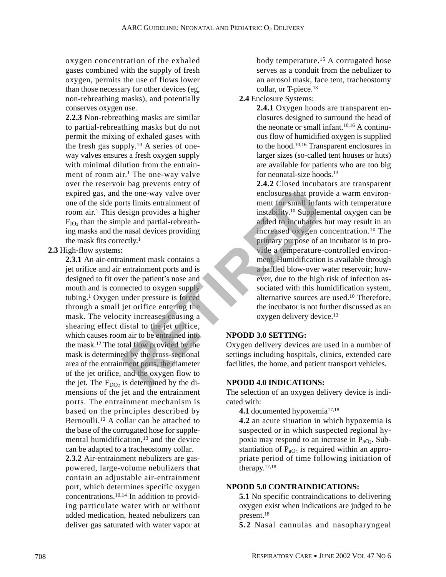oxygen concentration of the exhaled gases combined with the supply of fresh oxygen, permits the use of flows lower than those necessary for other devices (eg, non-rebreathing masks), and potentially conserves oxygen use.

**2.2.3** Non-rebreathing masks are similar to partial-rebreathing masks but do not permit the mixing of exhaled gases with the fresh gas supply.10 A series of oneway valves ensures a fresh oxygen supply with minimal dilution from the entrainment of room air.<sup>1</sup> The one-way valve over the reservoir bag prevents entry of expired gas, and the one-way valve over one of the side ports limits entrainment of room air.1 This design provides a higher  $F_{IO<sub>2</sub>}$  than the simple and partial-rebreathing masks and the nasal devices providing the mask fits correctly.1

#### **2.3** High-flow systems:

**2.3.1** An air-entrainment mask contains a jet orifice and air entrainment ports and is designed to fit over the patient's nose and mouth and is connected to oxygen supply tubing.1 Oxygen under pressure is forced through a small jet orifice entering the mask. The velocity increases causing a shearing effect distal to the jet orifice, which causes room air to be entrained into the mask.12 The total flow provided by the mask is determined by the cross-sectional area of the entrainment ports, the diameter of the jet orifice, and the oxygen flow to the jet. The  $F_{DO_2}$  is determined by the dimensions of the jet and the entrainment ports. The entrainment mechanism is based on the principles described by Bernoulli.12 A collar can be attached to the base of the corrugated hose for supplemental humidification,<sup>13</sup> and the device can be adapted to a tracheostomy collar. From the one-way valve over<br>
the one-way valve over<br>
the one-way valve over<br>
the one-way valve over<br>
the sign provides a higher<br>
ple and partial-rebreath-<br>
ple and partial-rebreath-<br>
ple and partial-rebreath-<br>
added to inc

**2.3.2** Air-entrainment nebulizers are gaspowered, large-volume nebulizers that contain an adjustable air-entrainment port, which determines specific oxygen concentrations.10,14 In addition to providing particulate water with or without added medication, heated nebulizers can deliver gas saturated with water vapor at body temperature.15 A corrugated hose serves as a conduit from the nebulizer to an aerosol mask, face tent, tracheostomy collar, or T-piece.<sup>13</sup>

## **2.4** Enclosure Systems:

**2.4.1** Oxygen hoods are transparent enclosures designed to surround the head of the neonate or small infant. $10,16$  A continuous flow of humidified oxygen is supplied to the hood.10,16 Transparent enclosures in larger sizes (so-called tent houses or huts) are available for patients who are too big for neonatal-size hoods.13

**2.4.2** Closed incubators are transparent enclosures that provide a warm environment for small infants with temperature instability.10 Supplemental oxygen can be added to incubators but may result in an increased oxygen concentration.10 The primary purpose of an incubator is to provide a temperature-controlled environment. Humidification is available through a baffled blow-over water reservoir; however, due to the high risk of infection associated with this humidification system, alternative sources are used.10 Therefore, the incubator is not further discussed as an oxygen delivery device.<sup>13</sup>

#### **NPODD 3.0 SETTING:**

Oxygen delivery devices are used in a number of settings including hospitals, clinics, extended care facilities, the home, and patient transport vehicles.

#### **NPODD 4.0 INDICATIONS:**

The selection of an oxygen delivery device is indicated with:

4.1 documented hypoxemia<sup>17,18</sup>

**4.2** an acute situation in which hypoxemia is suspected or in which suspected regional hypoxia may respond to an increase in  $P_{aO_2}$ . Substantiation of  $P_{aO_2}$  is required within an appropriate period of time following initiation of therapy.17,18

#### **NPODD 5.0 CONTRAINDICATIONS:**

**5.1** No specific contraindications to delivering oxygen exist when indications are judged to be present.18

**5.2** Nasal cannulas and nasopharyngeal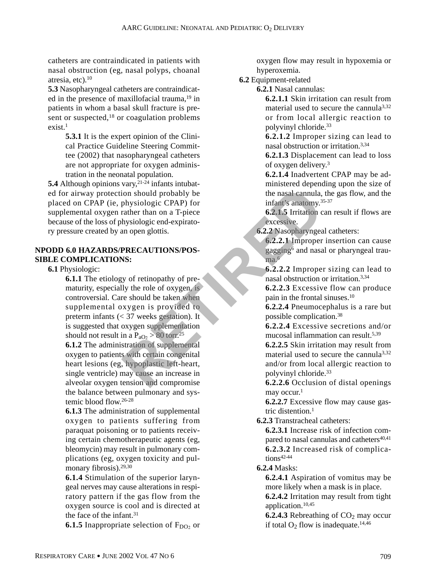catheters are contraindicated in patients with nasal obstruction (eg, nasal polyps, choanal atresia, etc).10

**5.3** Nasopharyngeal catheters are contraindicated in the presence of maxillofacial trauma,<sup>19</sup> in patients in whom a basal skull fracture is present or suspected,<sup>18</sup> or coagulation problems  $exist<sup>1</sup>$ 

> **5.3.1** It is the expert opinion of the Clinical Practice Guideline Steering Committee (2002) that nasopharyngeal catheters are not appropriate for oxygen administration in the neonatal population.

**5.4** Although opinions vary,<sup>21-24</sup> infants intubated for airway protection should probably be placed on CPAP (ie, physiologic CPAP) for supplemental oxygen rather than on a T-piece because of the loss of physiologic end-expiratory pressure created by an open glottis.

## **NPODD 6.0 HAZARDS/PRECAUTIONS/POS-SIBLE COMPLICATIONS:**

**6.1** Physiologic:

**6.1.1** The etiology of retinopathy of prematurity, especially the role of oxygen, is controversial. Care should be taken when supplemental oxygen is provided to preterm infants (< 37 weeks gestation). It is suggested that oxygen supplementation should not result in a  $P_{aO_2} > 80$  torr.<sup>25</sup> **EXECUTIONS/POS-**<br>
Section should probably be<br>
the nasal cannula,<br>
physiologic CPAP) for<br>
infant's anatomy.<sup>33</sup><br>
mant's anatomy.<sup>33</sup><br>
mant's anatomy.<sup>33</sup><br>
man<sup>4</sup> infant's anatomy.<sup>33</sup><br>
man<sup>4</sup> excessive.<br> **RECAUTIONS/POS-**

**6.1.2** The administration of supplemental oxygen to patients with certain congenital heart lesions (eg, hypoplastic left-heart, single ventricle) may cause an increase in alveolar oxygen tension and compromise the balance between pulmonary and systemic blood flow.26-28

**6.1.3** The administration of supplemental oxygen to patients suffering from paraquat poisoning or to patients receiving certain chemotherapeutic agents (eg, bleomycin) may result in pulmonary complications (eg, oxygen toxicity and pulmonary fibrosis).29,30

**6.1.4** Stimulation of the superior laryngeal nerves may cause alterations in respiratory pattern if the gas flow from the oxygen source is cool and is directed at the face of the infant.<sup>31</sup>

**6.1.5** Inappropriate selection of  $F_{\text{DO2}}$  or

oxygen flow may result in hypoxemia or hyperoxemia.

**6.2** Equipment-related

**6.2.1** Nasal cannulas:

**6.2.1.1** Skin irritation can result from material used to secure the cannula3,32 or from local allergic reaction to polyvinyl chloride.33

**6.2.1.2** Improper sizing can lead to nasal obstruction or irritation.3,34

**6.2.1.3** Displacement can lead to loss of oxygen delivery.3

**6.2.1.4** Inadvertent CPAP may be administered depending upon the size of the nasal cannula, the gas flow, and the infant's anatomy.35-37

**6.2.1.5** Irritation can result if flows are excessive.

**6.2.2** Nasopharyngeal catheters:

**6.2.2.1** Improper insertion can cause gagging6 and nasal or pharyngeal trauma.<sup>6</sup>

**6.2.2.2** Improper sizing can lead to nasal obstruction or irritation.3,34

**6.2.2.3** Excessive flow can produce pain in the frontal sinuses.10

**6.2.2.4** Pneumocephalus is a rare but possible complication.38

**6.2.2.4** Excessive secretions and/or mucosal inflammation can result.5,39

**6.2.2.5** Skin irritation may result from material used to secure the cannula<sup>3,32</sup> and/or from local allergic reaction to polyvinyl chloride.33

**6.2.2.6** Occlusion of distal openings may occur.<sup>1</sup>

**6.2.2.7** Excessive flow may cause gastric distention.1

**6.2.3** Transtracheal catheters:

**6.2.3.1** Increase risk of infection compared to nasal cannulas and catheters<sup>40,41</sup> **6.2.3.2** Increased risk of complica $tions^{42-44}$ 

**6.2.4** Masks:

**6.2.4.1** Aspiration of vomitus may be more likely when a mask is in place.

**6.2.4.2** Irritation may result from tight application.10,45

**6.2.4.3** Rebreathing of  $CO<sub>2</sub>$  may occur if total  $O_2$  flow is inadequate.<sup>14,46</sup>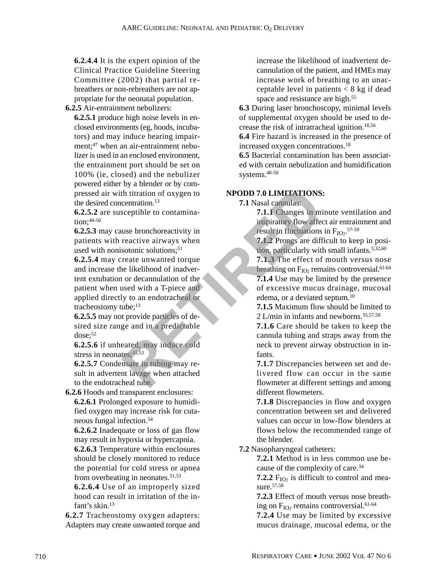**6.2.4.4** It is the expert opinion of the Clinical Practice Guideline Steering Committee (2002) that partial rebreathers or non-rebreathers are not appropriate for the neonatal population.

**6.2.5** Air-entrainment nebulizers:

**6.2.5.1** produce high noise levels in enclosed environments (eg, hoods, incubators) and may induce hearing impairment;47 when an air-entrainment nebulizer is used in an enclosed environment, the entrainment port should be set on 100% (ie, closed) and the nebulizer powered either by a blender or by compressed air with titration of oxygen to the desired concentration.<sup>13</sup>

**6.2.5.2** are susceptible to contamination;48-50

**6.2.5.3** may cause bronchoreactivity in patients with reactive airways when used with nonisotonic solutions;<sup>51</sup>

**6.2.5.4** may create unwanted torque and increase the likelihood of inadvertent extubation or decannulation of the patient when used with a T-piece and applied directly to an endotracheal or tracheostomy tube;13 Friendin, 13<br>
Exercise to the titration of oxygen to<br>
the titration of oxygen to<br>
centration.<sup>13</sup><br>
T.1.1 Changes in minimizing inspiratory flow affect<br>
ties the preasure invariant inspiratory flow affect<br>
read to measure t

**6.2.5.5** may not provide particles of desired size range and in a predictable dose;<sup>52</sup>

**6.2.5.6** if unheated, may induce cold stress in neonates; 31,53

**6.2.5.7** Condensate in tubing may result in advertent lavage when attached to the endotracheal tube.

**6.2.6** Hoods and transparent enclosures:

**6.2.6.1** Prolonged exposure to humidified oxygen may increase risk for cutaneous fungal infection.54

**6.2.6.2** Inadequate or loss of gas flow may result in hypoxia or hypercapnia.

**6.2.6.3** Temperature within enclosures should be closely monitored to reduce the potential for cold stress or apnea from overheating in neonates.31,53

**6.2.6.4** Use of an improperly sized hood can result in irritation of the infant's skin.13

**6.2.7** Tracheostomy oxygen adapters: Adapters may create unwanted torque and increase the likelihood of inadvertent decannulation of the patient, and HMEs may increase work of breathing to an unacceptable level in patients  $< 8$  kg if dead space and resistance are high.<sup>55</sup>

**6.3** During laser bronchoscopy, minimal levels of supplemental oxygen should be used to decrease the risk of intratracheal ignition.18,56

**6.4** Fire hazard is increased in the presence of increased oxygen concentrations.18

**6.5** Bacterial contamination has been associated with certain nebulization and humidification systems.48-50

# **NPODD 7.0 LIMITATIONS:**

**7.1** Nasal cannulas:

**7.1.1** Changes in minute ventilation and inspiratory flow affect air entrainment and result in fluctuations in  $F_{IO2}$ .<sup>57-59</sup>

**7.1.2** Prongs are difficult to keep in position, particularly with small infants.3,32,60

**7.1.3** The effect of mouth versus nose breathing on  $F_{IO2}$  remains controversial.<sup>61-64</sup> **7.1.4** Use may be limited by the presence of excessive mucus drainage, mucosal edema, or a deviated septum.<sup>10</sup>

**7.1.5** Maximum flow should be limited to 2 L/min in infants and newborns.35,57,58

**7.1.6** Care should be taken to keep the cannula tubing and straps away from the neck to prevent airway obstruction in infants.

**7.1.7** Discrepancies between set and delivered flow can occur in the same flowmeter at different settings and among different flowmeters.

**7.1.8** Discrepancies in flow and oxygen concentration between set and delivered values can occur in low-flow blenders at flows below the recommended range of the blender.

**7.2** Nasopharyngeal catheters:

**7.2.1** Method is in less common use because of the complexity of care.34

**7.2.2**  $F_{IO2}$  is difficult to control and measure.<sup>57,58</sup>

**7.2.3** Effect of mouth versus nose breathing on F<sub>IO2</sub> remains controversial.<sup>61-64</sup>

**7.2.4** Use may be limited by excessive mucus drainage, mucosal edema, or the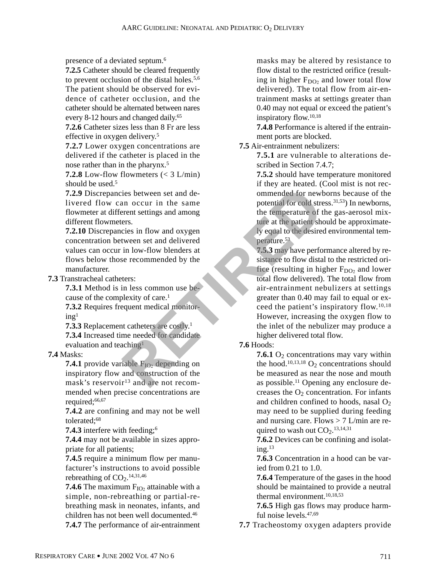presence of a deviated septum.6

**7.2.5** Catheter should be cleared frequently to prevent occlusion of the distal holes.5,6 The patient should be observed for evidence of catheter occlusion, and the catheter should be alternated between nares every 8-12 hours and changed daily.<sup>65</sup>

**7.2.6** Catheter sizes less than 8 Fr are less effective in oxygen delivery.5

**7.2.7** Lower oxygen concentrations are delivered if the catheter is placed in the nose rather than in the pharynx.5

**7.2.8** Low-flow flowmeters  $(< 3$  L/min) should be used.<sup>5</sup>

**7.2.9** Discrepancies between set and delivered flow can occur in the same flowmeter at different settings and among different flowmeters.

**7.2.10** Discrepancies in flow and oxygen concentration between set and delivered values can occur in low-flow blenders at flows below those recommended by the manufacturer.

**7.3** Transtracheal catheters:

**7.3.1** Method is in less common use because of the complexity of care.<sup>1</sup>

**7.3.2** Requires frequent medical monitor $ing<sup>1</sup>$ 

**7.3.3** Replacement catheters are costly.1

**7.3.4** Increased time needed for candidate evaluation and teaching<sup>1</sup>

#### **7.4** Masks:

**7.4.1** provide variable  $F_{IO2}$  depending on inspiratory flow and construction of the mask's reservoir<sup>13</sup> and are not recommended when precise concentrations are required;<sup>66,67</sup>

**7.4.2** are confining and may not be well tolerated;<sup>68</sup>

**7.4.3** interfere with feeding;6

**7.4.4** may not be available in sizes appropriate for all patients;

**7.4.5** require a minimum flow per manufacturer's instructions to avoid possible rebreathing of  $CO<sub>2</sub>$ .<sup>14,31,46</sup>

**7.4.6** The maximum  $F_{IO2}$  attainable with a simple, non-rebreathing or partial-rebreathing mask in neonates, infants, and children has not been well documented.46 **7.4.7** The performance of air-entrainment masks may be altered by resistance to flow distal to the restricted orifice (resulting in higher  $F_{DO<sub>2</sub>}$  and lower total flow delivered). The total flow from air-entrainment masks at settings greater than 0.40 may not equal or exceed the patient's inspiratory flow.10,18

**7.4.8** Performance is altered if the entrainment ports are blocked.

**7.5** Air-entrainment nebulizers:

**7.5.1** are vulnerable to alterations described in Section 7.4.7;

**7.5.2** should have temperature monitored if they are heated. (Cool mist is not recommended for newborns because of the potential for cold stress.31,53) In newborns, the temperature of the gas-aerosol mixture at the patient should be approximately equal to the desired environmental temperature.53

**7.5.3** may have performance altered by resistance to flow distal to the restricted orifice (resulting in higher  $F_{DO2}$  and lower total flow delivered). The total flow from air-entrainment nebulizers at settings greater than 0.40 may fail to equal or exceed the patient's inspiratory flow.10,18 However, increasing the oxygen flow to the inlet of the nebulizer may produce a higher delivered total flow. ies between set and de-<br>
an occur in the same<br>
potential for cold strengt settings and among<br>
the temperature of the strengthends of order that the patient settings<br>
in Iow-flow blenders at<br>
sixtens in the patient sixtene

# **7.6** Hoods:

**7.6.1**  $O_2$  concentrations may vary within the hood.<sup>10,13,18</sup> O<sub>2</sub> concentrations should be measured as near the nose and mouth as possible.<sup>11</sup> Opening any enclosure decreases the  $O<sub>2</sub>$  concentration. For infants and children confined to hoods, nasal  $O<sub>2</sub>$ may need to be supplied during feeding and nursing care. Flows  $> 7$  L/min are required to wash out  $CO<sub>2</sub>$ .<sup>13,14,31</sup>

**7.6.2** Devices can be confining and isolating.13

**7.6.3** Concentration in a hood can be varied from 0.21 to 1.0.

**7.6.4** Temperature of the gases in the hood should be maintained to provide a neutral thermal environment.10,18,53

**7.6.5** High gas flows may produce harmful noise levels.47,69

**7.7** Tracheostomy oxygen adapters provide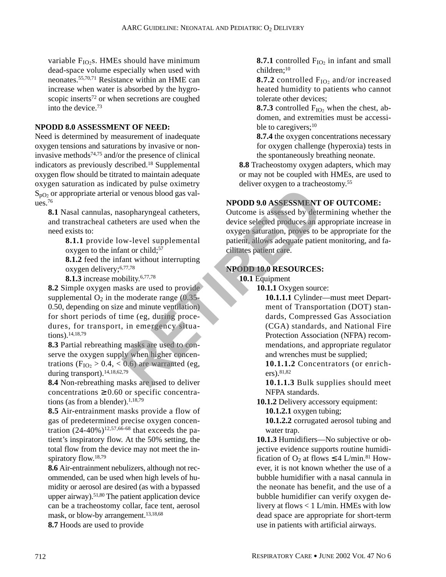variable  $F_{IO2}$ s. HMEs should have minimum dead-space volume especially when used with neonates.55,70,71 Resistance within an HME can increase when water is absorbed by the hygroscopic inserts<sup>72</sup> or when secretions are coughed into the device.73

#### **NPODD 8.0 ASSESSMENT OF NEED:**

Need is determined by measurement of inadequate oxygen tensions and saturations by invasive or noninvasive methods74,75 and/or the presence of clinical indicators as previously described.18 Supplemental oxygen flow should be titrated to maintain adequate oxygen saturation as indicated by pulse oximetry  $S_{pQ}$  or appropriate arterial or venous blood gas values.76

**8.1** Nasal cannulas, nasopharyngeal catheters, and transtracheal catheters are used when the need exists to:

> **8.1.1** provide low-level supplemental oxygen to the infant or child;<sup>57</sup>

> **8.1.2** feed the infant without interrupting oxygen delivery;6,77,78

**8.1.3** increase mobility.6,77,78

**8.2** Simple oxygen masks are used to provide supplemental  $O_2$  in the moderate range (0.35-0.50, depending on size and minute ventilation) for short periods of time (eg, during procedures, for transport, in emergency situations).14,18,79 For the term and the term of Transport of the term and well applemental<br>
Survey and the term and the term of the term of the term and the term of the term of the term of the term of the term of the term of the term of the

**8.3** Partial rebreathing masks are used to conserve the oxygen supply when higher concentrations ( $F_{IO_2} > 0.4, < 0.6$ ) are warranted (eg, during transport).<sup>14,18,62,79</sup>

**8.4** Non-rebreathing masks are used to deliver concentrations  $\geq 0.60$  or specific concentrations (as from a blender). $1,18,79$ 

**8.5** Air-entrainment masks provide a flow of gas of predetermined precise oxygen concentration  $(24-40\%)^{12,57,66-68}$  that exceeds the patient's inspiratory flow. At the 50% setting, the total flow from the device may not meet the inspiratory flow.18,79

**8.6** Air-entrainment nebulizers, although not recommended, can be used when high levels of humidity or aerosol are desired (as with a bypassed upper airway).<sup>51,80</sup> The patient application device can be a tracheostomy collar, face tent, aerosol mask, or blow-by arrangement.<sup>13,18,68</sup>

**8.7** Hoods are used to provide

**8.7.1** controlled  $F_{IO2}$  in infant and small children;<sup>10</sup>

**8.7.2** controlled  $F_{IO2}$  and/or increased heated humidity to patients who cannot tolerate other devices;

**8.7.3** controlled  $F_{IO2}$  when the chest, abdomen, and extremities must be accessible to caregivers;<sup>10</sup>

**8.7.4** the oxygen concentrations necessary for oxygen challenge (hyperoxia) tests in the spontaneously breathing neonate.

**8.8** Tracheostomy oxygen adapters, which may or may not be coupled with HMEs, are used to deliver oxygen to a tracheostomy.<sup>55</sup>

# **NPODD 9.0 ASSESSMENT OF OUTCOME:**

Outcome is assessed by determining whether the device selected produces an appropriate increase in oxygen saturation, proves to be appropriate for the patient, allows adequate patient monitoring, and facilitates patient care.

# **NPODD 10.0 RESOURCES:**

**10.1** Equipment

**10.1.1** Oxygen source:

**10.1.1.1** Cylinder—must meet Department of Transportation (DOT) standards, Compressed Gas Association (CGA) standards, and National Fire Protection Association (NFPA) recommendations, and appropriate regulator and wrenches must be supplied;

**10.1.1.2** Concentrators (or enrichers).81,82

**10.1.1.3** Bulk supplies should meet NFPA standards.

**10.1.2** Delivery accessory equipment:

**10.1.2.1** oxygen tubing;

**10.1.2.2** corrugated aerosol tubing and water trap.

**10.1.3** Humidifiers—No subjective or objective evidence supports routine humidification of  $O_2$  at flows  $\leq 4$  L/min.<sup>81</sup> However, it is not known whether the use of a bubble humidifier with a nasal cannula in the neonate has benefit, and the use of a bubble humidifier can verify oxygen delivery at flows < 1 L/min. HMEs with low dead space are appropriate for short-term use in patients with artificial airways.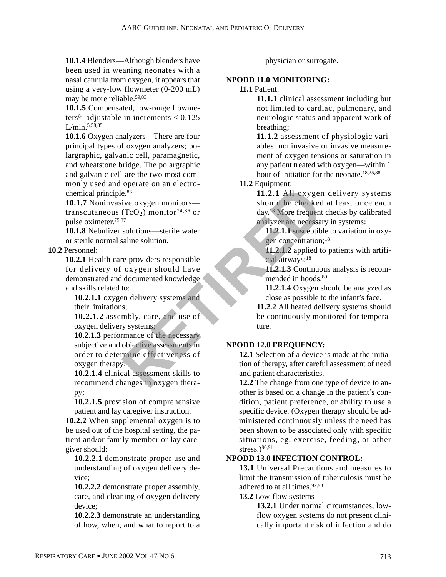**10.1.4** Blenders—Although blenders have been used in weaning neonates with a nasal cannula from oxygen, it appears that using a very-low flowmeter (0-200 mL) may be more reliable.59,83

**10.1.5** Compensated, low-range flowmeters<sup>84</sup> adjustable in increments  $< 0.125$ L/min.5,58,85

**10.1.6** Oxygen analyzers—There are four principal types of oxygen analyzers; polargraphic, galvanic cell, paramagnetic, and wheatstone bridge. The polargraphic and galvanic cell are the two most commonly used and operate on an electrochemical principle.86

**10.1.7** Noninvasive oxygen monitors transcutaneous (TcO<sub>2</sub>) monitor<sup>74,86</sup> or pulse oximeter.75,87

**10.1.8** Nebulizer solutions—sterile water or sterile normal saline solution.

**10.2** Personnel:

**10.2.1** Health care providers responsible for delivery of oxygen should have demonstrated and documented knowledge and skills related to: Example on the transition of the necessary<br>
The example of the method of the set of the set of the set of the set of the set of the set of the set of the set of the set of the providers analyser are necessarily of the set

**10.2.1.1** oxygen delivery systems and their limitations;

**10.2.1.2** assembly, care, and use of oxygen delivery systems;

**10.2.1.3** performance of the necessary subjective and objective assessments in order to determine effectiveness of oxygen therapy;

**10.2.1.4** clinical assessment skills to recommend changes in oxygen therapy;

**10.2.1.5** provision of comprehensive patient and lay caregiver instruction.

**10.2.2** When supplemental oxygen is to be used out of the hospital setting, the patient and/or family member or lay caregiver should:

**10.2.2.1** demonstrate proper use and understanding of oxygen delivery device;

**10.2.2.2** demonstrate proper assembly, care, and cleaning of oxygen delivery device;

**10.2.2.3** demonstrate an understanding of how, when, and what to report to a physician or surrogate.

## **NPODD 11.0 MONITORING:**

#### **11.1** Patient:

**11.1.1** clinical assessment including but not limited to cardiac, pulmonary, and neurologic status and apparent work of breathing;

**11.1.2** assessment of physiologic variables: noninvasive or invasive measurement of oxygen tensions or saturation in any patient treated with oxygen—within 1 hour of initiation for the neonate.<sup>18,25,88</sup>

# **11.2** Equipment:

**11.2.1** All oxygen delivery systems should be checked at least once each day.18 More frequent checks by calibrated analyzer are necessary in systems:

**11.2.1.1** susceptible to variation in oxygen concentration;<sup>18</sup>

**11.2.1.2** applied to patients with artificial airways;18

**11.2.1.3** Continuous analysis is recommended in hoods.<sup>89</sup>

**11.2.1.4** Oxygen should be analyzed as close as possible to the infant's face.

**11.2.2** All heated delivery systems should be continuously monitored for temperature.

# **NPODD 12.0 FREQUENCY:**

**12.1** Selection of a device is made at the initiation of therapy, after careful assessment of need and patient characteristics.

**12.2** The change from one type of device to another is based on a change in the patient's condition, patient preference, or ability to use a specific device. (Oxygen therapy should be administered continuously unless the need has been shown to be associated only with specific situations, eg, exercise, feeding, or other stress.)90,91

# **NPODD 13.0 INFECTION CONTROL:**

**13.1** Universal Precautions and measures to limit the transmission of tuberculosis must be adhered to at all times.  $92,93$ 

# **13.2** Low-flow systems

**13.2.1** Under normal circumstances, lowflow oxygen systems do not present clinically important risk of infection and do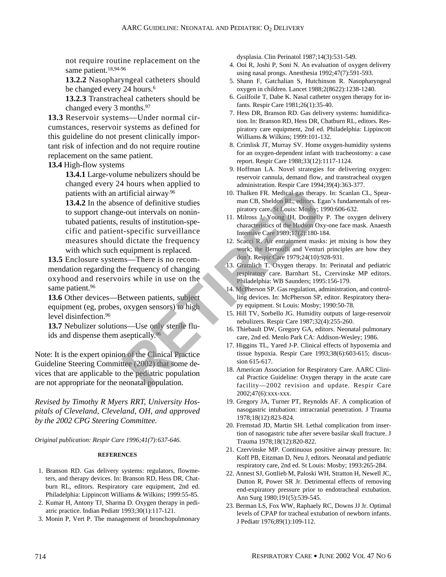not require routine replacement on the same patient.<sup>18,94-96</sup>

**13.2.2** Nasopharyngeal catheters should be changed every 24 hours.<sup>6</sup>

**13.2.3** Transtracheal catheters should be changed every 3 months.<sup>97</sup>

**13.3** Reservoir systems—Under normal circumstances, reservoir systems as defined for this guideline do not present clinically important risk of infection and do not require routine replacement on the same patient.

**13.4** High-flow systems

**13.4.1** Large-volume nebulizers should be changed every 24 hours when applied to patients with an artificial airway.96

**13.4.2** In the absence of definitive studies to support change-out intervals on nonintubated patients, results of institution-specific and patient-specific surveillance measures should dictate the frequency with which such equipment is replaced. Trifficial airway<sup>96</sup><br>
Trifficial airway<sup>96</sup><br>
Trifficial airway<sup>96</sup><br>
Pole trifficial airway<sup>96</sup><br>
Pole trifficial some only and CB, Sheldon RL, editors. Ege-out intervals on nonin-<br>
Point in the properties of the Hudson Ox<br>

**13.5** Enclosure systems—There is no recommendation regarding the frequency of changing oxyhood and reservoirs while in use on the same patient.<sup>96</sup>

**13.6** Other devices—Between patients, subject equipment (eg, probes, oxygen sensors) to high level disinfection.<sup>96</sup>

**13.7** Nebulizer solutions—Use only sterile fluids and dispense them aseptically.96

Note: It is the expert opinion of the Clinical Practice Guideline Steering Committee (2002) that some devices that are applicable to the pediatric population are not appropriate for the neonatal population.

*Revised by Timothy R Myers RRT, University Hospitals of Cleveland, Cleveland, OH, and approved by the 2002 CPG Steering Committee.*

*Original publication: Respir Care 1996;41(7):637-646.*

#### **REFERENCES**

- 1. Branson RD. Gas delivery systems: regulators, flowmeters, and therapy devices. In: Branson RD, Hess DR, Chatburn RL, editors. Respiratory care equipment, 2nd ed. Philadelphia: Lippincott Williams & Wilkins; 1999:55-85.
- 2. Kumar H, Antony TJ, Sharma D. Oxygen therapy in pediatric practice. Indian Pediatr 1993;30(1):117-121.
- 3. Monin P, Vert P. The management of bronchopulmonary

dysplasia. Clin Perinatol 1987;14(3):531-549.

- 4. Ooi R, Joshi P, Soni N. An evaluation of oxygen delivery using nasal prongs. Anesthesia 1992;47(7):591-593.
- 5. Shann F, Gatchalian S, Hutchinson R. Nasopharyngeal oxygen in children. Lancet 1988;2(8622):1238-1240.
- 6. Guilfoile T, Dabe K. Nasal catheter oxygen therapy for infants. Respir Care 1981;26(1):35-40.
- 7. Hess DR, Branson RD. Gas delivery systems: humidification. In: Branson RD, Hess DR, Chatburn RL, editors. Respiratory care equipment, 2nd ed. Philadelphia: Lippincott Williams & Wilkins; 1999:101-132.
- 8. Crimlisk JT, Murray SV. Home oxygen-humidity systems for an oxygen-dependent infant with tracheostomy: a case report. Respir Care 1988;33(12):1117-1124.
- 9. Hoffman LA. Novel strategies for delivering oxygen: reservoir cannula, demand flow, and transtracheal oxygen administration. Respir Care 1994;39(4):363-377.
- 10. Thalken FR. Medical gas therapy. In: Scanlan CL, Spearman CB, Sheldon RL, editors. Egan's fundamentals of respiratory care. St Louis: Mosby; 1990:606-632.
- 11. Milross J, Young IH, Donnelly P. The oxygen delivery characteristics of the Hudson Oxy-one face mask. Anaesth Intensive Care 1989;17(2):180-184.
- 12. Scacci R. Air entrainment masks: jet mixing is how they work; the Bernoulli and Venturi principles are how they don't. Respir Care 1979;24(10):928-931.
- 13. Gramlich T. Oxygen therapy. In: Perinatal and pediatric respiratory care. Barnhart SL, Czervinske MP editors. Philadelphia: WB Saunders; 1995:156-179.
- 14. McPherson SP. Gas regulation, administration, and controlling devices. In: McPherson SP, editor. Respiratory therapy equipment. St Louis: Mosby; 1990:50-78.
- 15. Hill TV, Sorbello JG. Humidity outputs of large-reservoir nebulizers. Respir Care 1987;32(4):255-260.
- 16. Thiebault DW, Gregory GA, editors. Neonatal pulmonary care, 2nd ed. Menlo Park CA: Addison-Wesley; 1986.
- 17. Higgins TL, Yared J-P. Clinical effects of hypoxemia and tissue hypoxia. Respir Care 1993;38(6):603-615; discussion 615-617.
- 18. American Association for Respiratory Care. AARC Clinical Practice Guideline: Oxygen therapy in the acute care facility—2002 revision and update. Respir Care 2002;47(6):xxx-xxx.
- 19. Gregory JA, Turner PT, Reynolds AF. A complication of nasogastric intubation: intracranial penetration. J Trauma 1978;18(12):823-824.
- 20. Fremstad JD, Martin SH. Lethal complication from insertion of nasogastric tube after severe basilar skull fracture. J Trauma 1978;18(12):820-822.
- 21. Czervinske MP. Continuous positive airway pressure. In: Koff PB, Eitzman D, Neu J, editors. Neonatal and pediatric respiratory care, 2nd ed. St Louis: Mosby; 1993:265-284.
- 22. Annest SJ, Gottlieb M, Paloski WH, Stratton H, Newell JC, Dutton R, Power SR Jr. Detrimental effects of removing end-expiratory pressure prior to endotracheal extubation. Ann Surg 1980;191(5):539-545.
- 23. Berman LS, Fox WW, Raphaely RC, Downs JJ Jr. Optimal levels of CPAP for tracheal extubation of newborn infants. J Pediatr 1976;89(1):109-112.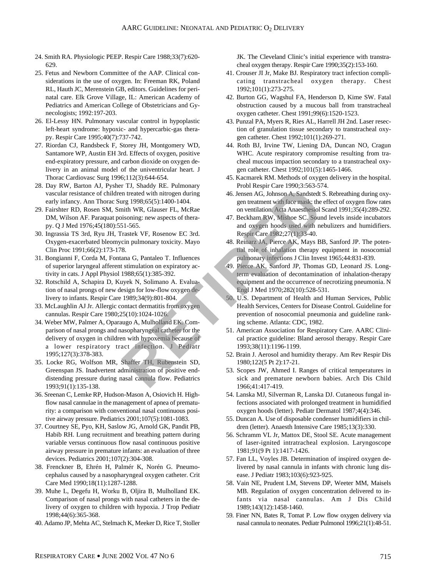- 24. Smith RA. Physiologic PEEP. Respir Care 1988;33(7):620- 629.
- 25. Fetus and Newborn Committee of the AAP. Clinical considerations in the use of oxygen. In: Freeman RK, Poland RL, Hauth JC, Merenstein GB, editors. Guidelines for perinatal care. Elk Grove Village, IL: American Academy of Pediatrics and American College of Obstetricians and Gynecologists; 1992:197-203.
- 26. El-Lessy HN. Pulmonary vascular control in hypoplastic left-heart syndrome: hypoxic- and hypercarbic-gas therapy. Respir Care 1995;40(7):737-742.
- 27. Riordan CJ, Randsbeck F, Storey JH, Montgomery WD, Santamore WP, Austin EH 3rd. Effects of oxygen, positive end-expiratory pressure, and carbon dioxide on oxygen delivery in an animal model of the univentricular heart. J Thorac Cardiovasc Surg 1996;112(3):644-654.
- 28. Day RW, Barton AJ, Pysher TJ, Shaddy RE. Pulmonary vascular resistance of children treated with nitrogen during early infancy. Ann Thorac Surg 1998;65(5):1400-1404.
- 29. Fairshter RD, Rosen SM, Smith WR, Glauser FL, McRae DM, Wilson AF. Paraquat poisoning: new aspects of therapy. Q J Med 1976;45(180):551-565.
- 30. Ingrassia TS 3rd, Ryu JH, Trastek VF, Rosenow EC 3rd. Oxygen-exacerbated bleomycin pulmonary toxicity. Mayo Clin Proc 1991;66(2):173-178.
- 31. Bongianni F, Corda M, Fontana G, Pantaleo T. Influences of superior laryngeal afferent stimulation on expiratory activity in cats. J Appl Physiol 1988;65(1):385-392.
- 32. Rotschild A, Schapira D, Kuyek N, Solimano A. Evaluation of nasal prongs of new design for low-flow oxygen delivery to infants. Respir Care 1989;34(9):801-804.
- 33. McLaughlin AJ Jr. Allergic contact dermatitis from oxygen cannulas. Respir Care 1980;25(10):1024-1026.
- 34. Weber MW, Palmer A, Oparaugo A, Mulholland EK. Comparison of nasal prongs and nasopharyngeal catheter for the delivery of oxygen in children with hypoxemia because of a lower respiratory tract infection. J Pediatr 1995;127(3):378-383. From State 1790, 1200 Face 1790, 1200 Face 1790, 1200 Face 1790, 1200 Face 1790, 1200 Face 1790, 1200 Face 1811 and the state of the minimal space of the minimal space of the minimal space of the minimal space of the minim
- 35. Locke RG, Wolfson MR, Shaffer TH, Rubenstein SD, Greenspan JS. Inadvertent administration of positive enddistending pressure during nasal cannula flow. Pediatrics 1993;91(1):135-138.
- 36. Sreenan C, Lemke RP, Hudson-Mason A, Osiovich H. Highflow nasal cannulae in the management of apnea of prematurity: a comparison with conventional nasal continuous positive airway pressure. Pediatrics 2001;107(5):1081-1083.
- 37. Courtney SE, Pyo, KH, Saslow JG, Arnold GK, Pandit PB, Habib RH. Lung recruitment and breathing pattern during variable versus continuous flow nasal continuous positive airway pressure in premature infants: an evaluation of three devices. Pediatrics 2001;107(2):304-308.
- 38. Frenckner B, Ehrén H, Palmér K, Norén G. Pneumocephalus caused by a nasopharyngeal oxygen catheter. Crit Care Med 1990;18(11):1287-1288.
- 39. Muhe L, Degefu H, Worku B, Oljira B, Mulholland EK. Comparison of nasal prongs with nasal catheters in the delivery of oxygen to children with hypoxia. J Trop Pediatr 1998;44(6):365-368.
- 40. Adamo JP, Mehta AC, Stelmach K, Meeker D, Rice T, Stoller

JK. The Cleveland Clinic's initial experience with transtracheal oxygen therapy. Respir Care 1990;35(2):153-160.

- 41. Crouser JI Jr, Make BJ. Respiratory tract infection complicating transtracheal oxygen therapy. Chest 1992;101(1):273-275.
- 42. Burton GG, Wagshul FA, Henderson D, Kime SW. Fatal obstruction caused by a mucous ball from transtracheal oxygen catheter. Chest 1991;99(6):1520-1523.
- 43. Punzal PA, Myers R, Ries AL, Harrell JH 2nd. Laser resection of granulation tissue secondary to transtracheal oxygen catheter. Chest 1992;101(1):269-271.
- 44. Roth BJ, Irvine TW, Liening DA, Duncan NO, Cragun WHC. Acute respiratory compromise resulting from tracheal mucous impaction secondary to a transtracheal oxygen catheter. Chest 1992;101(5):1465-1466.
- 45. Kacmarek RM. Methods of oxygen delivery in the hospital. Probl Respir Care 1990;3:563-574.
- 46. Jensen AG, Johnson A, Sandstedt S. Rebreathing during oxygen treatment with face mask: the effect of oxygen flow rates on ventilation. Acta Anaesthesiol Scand 1991;35(4):289-292.
- 47. Beckham RW, Mishoe SC. Sound levels inside incubators and oxygen hoods used with nebulizers and humidifiers. Respir Care 1982;27(1):33-40.
- 48. Reinarz JA, Pierce AK, Mays BB, Sanford JP. The potential role of inhalation therapy equipment in nosocomial pulmonary infections J Clin Invest 1965;44:831-839.
- 49. Pierce AK, Sanford JP, Thomas GD, Leonard JS. Longterm evaluation of decontamination of inhalation-therapy equipment and the occurrence of necrotizing pneumonia. N Engl J Med 1970;282(10):528-531.
- 50. U.S. Department of Health and Human Services, Public Health Services, Centers for Disease Control. Guideline for prevention of nosocomial pneumonia and guideline ranking scheme. Atlanta: CDC, 1982.
- 51. American Association for Respiratory Care. AARC Clinical practice guideline: Bland aerosol therapy. Respir Care 1993;38(11):1196-1199.
- 52. Brain J. Aerosol and humidity therapy. Am Rev Respir Dis 1980;122(5 Pt 2):17-21.
- 53. Scopes JW, Ahmed I. Ranges of critical temperatures in sick and premature newborn babies. Arch Dis Child 1966;41:417-419.
- 54. Lanska MJ, Silverman R, Lanska DJ. Cutaneous fungal infections associated with prolonged treatment in humidified oxygen hoods (letter). Pediatr Dermatol 1987;4(4):346.
- 55. Duncan A. Use of disposable condenser humidifiers in children (letter). Anaesth Intensive Care 1985;13(3):330.
- 56. Schramm VL Jr, Mattox DE, Stool SE. Acute management of laser-ignited intratracheal explosion. Laryngoscope 1981;91(9 Pt 1):1417-1426.
- 57. Fan LL, Voyles JB. Determination of inspired oxygen delivered by nasal cannula in infants with chronic lung disease. J Pediatr 1983;103(6):923-925.
- 58. Vain NE, Prudent LM, Stevens DP, Weeter MM, Maisels MB. Regulation of oxygen concentration delivered to infants via nasal cannulas. Am J Dis Child 1989;143(12):1458-1460.
- 59. Finer NN, Bates R, Tomat P. Low flow oxygen delivery via nasal cannula to neonates. Pediatr Pulmonol 1996;21(1):48-51.